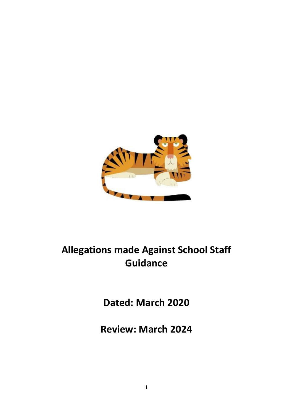

# **Allegations made Against School Staff Guidance**

**Dated: March 2020**

**Review: March 2024**